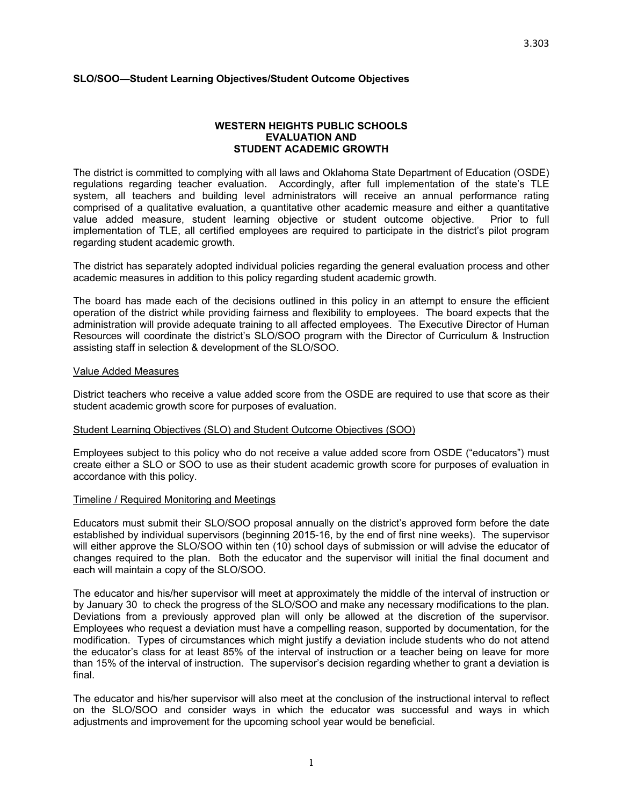## **SLO/SOO—Student Learning Objectives/Student Outcome Objectives**

#### **WESTERN HEIGHTS PUBLIC SCHOOLS EVALUATION AND STUDENT ACADEMIC GROWTH**

The district is committed to complying with all laws and Oklahoma State Department of Education (OSDE) regulations regarding teacher evaluation. Accordingly, after full implementation of the state's TLE system, all teachers and building level administrators will receive an annual performance rating comprised of a qualitative evaluation, a quantitative other academic measure and either a quantitative value added measure, student learning objective or student outcome objective. Prior to full implementation of TLE, all certified employees are required to participate in the district's pilot program regarding student academic growth.

The district has separately adopted individual policies regarding the general evaluation process and other academic measures in addition to this policy regarding student academic growth.

The board has made each of the decisions outlined in this policy in an attempt to ensure the efficient operation of the district while providing fairness and flexibility to employees. The board expects that the administration will provide adequate training to all affected employees. The Executive Director of Human Resources will coordinate the district's SLO/SOO program with the Director of Curriculum & Instruction assisting staff in selection & development of the SLO/SOO.

#### Value Added Measures

District teachers who receive a value added score from the OSDE are required to use that score as their student academic growth score for purposes of evaluation.

#### Student Learning Objectives (SLO) and Student Outcome Objectives (SOO)

Employees subject to this policy who do not receive a value added score from OSDE ("educators") must create either a SLO or SOO to use as their student academic growth score for purposes of evaluation in accordance with this policy.

### Timeline / Required Monitoring and Meetings

Educators must submit their SLO/SOO proposal annually on the district's approved form before the date established by individual supervisors (beginning 2015-16, by the end of first nine weeks). The supervisor will either approve the SLO/SOO within ten (10) school days of submission or will advise the educator of changes required to the plan. Both the educator and the supervisor will initial the final document and each will maintain a copy of the SLO/SOO.

The educator and his/her supervisor will meet at approximately the middle of the interval of instruction or by January 30 to check the progress of the SLO/SOO and make any necessary modifications to the plan. Deviations from a previously approved plan will only be allowed at the discretion of the supervisor. Employees who request a deviation must have a compelling reason, supported by documentation, for the modification. Types of circumstances which might justify a deviation include students who do not attend the educator's class for at least 85% of the interval of instruction or a teacher being on leave for more than 15% of the interval of instruction. The supervisor's decision regarding whether to grant a deviation is final.

The educator and his/her supervisor will also meet at the conclusion of the instructional interval to reflect on the SLO/SOO and consider ways in which the educator was successful and ways in which adjustments and improvement for the upcoming school year would be beneficial.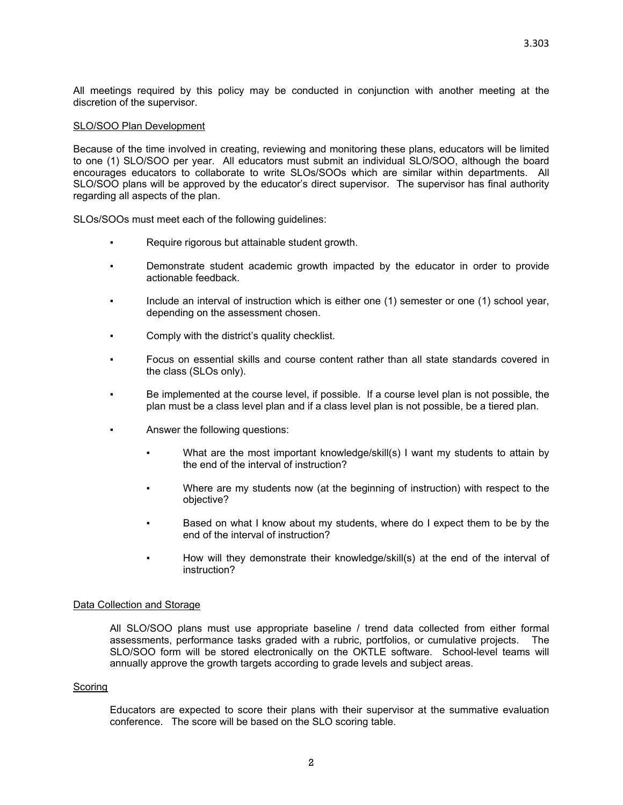All meetings required by this policy may be conducted in conjunction with another meeting at the discretion of the supervisor.

### SLO/SOO Plan Development

Because of the time involved in creating, reviewing and monitoring these plans, educators will be limited to one (1) SLO/SOO per year. All educators must submit an individual SLO/SOO, although the board encourages educators to collaborate to write SLOs/SOOs which are similar within departments. All SLO/SOO plans will be approved by the educator's direct supervisor. The supervisor has final authority regarding all aspects of the plan.

SLOs/SOOs must meet each of the following guidelines:

- Require rigorous but attainable student growth.
- Demonstrate student academic growth impacted by the educator in order to provide actionable feedback.
- Include an interval of instruction which is either one (1) semester or one (1) school year, depending on the assessment chosen.
- Comply with the district's quality checklist.
- Focus on essential skills and course content rather than all state standards covered in the class (SLOs only).
- Be implemented at the course level, if possible. If a course level plan is not possible, the plan must be a class level plan and if a class level plan is not possible, be a tiered plan.
- Answer the following questions:
	- What are the most important knowledge/skill(s) I want my students to attain by the end of the interval of instruction?
	- Where are my students now (at the beginning of instruction) with respect to the objective?
	- Based on what I know about my students, where do I expect them to be by the end of the interval of instruction?
	- How will they demonstrate their knowledge/skill(s) at the end of the interval of instruction?

### Data Collection and Storage

All SLO/SOO plans must use appropriate baseline / trend data collected from either formal assessments, performance tasks graded with a rubric, portfolios, or cumulative projects. The SLO/SOO form will be stored electronically on the OKTLE software. School-level teams will annually approve the growth targets according to grade levels and subject areas.

### Scoring

Educators are expected to score their plans with their supervisor at the summative evaluation conference. The score will be based on the SLO scoring table.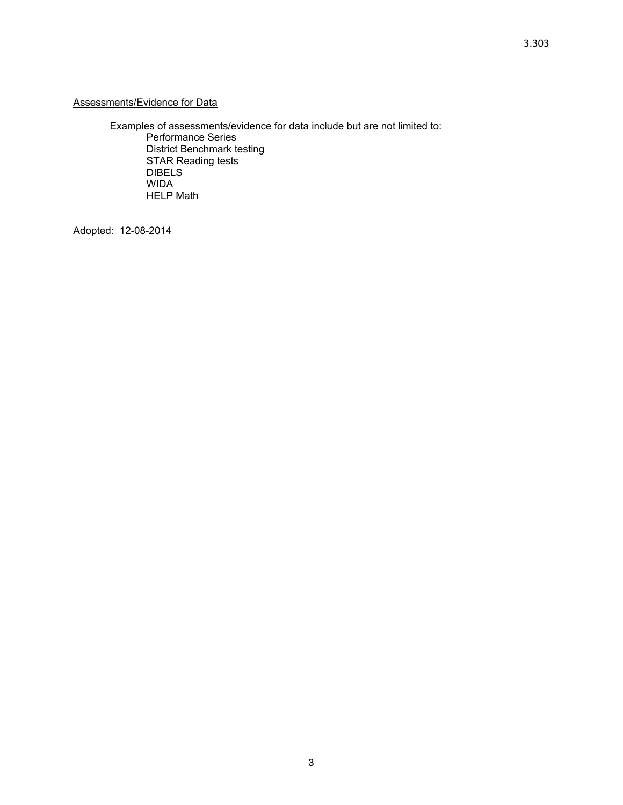Examples of assessments/evidence for data include but are not limited to: Performance Series District Benchmark testing STAR Reading tests DIBELS WIDA HELP Math

Adopted: 12-08-2014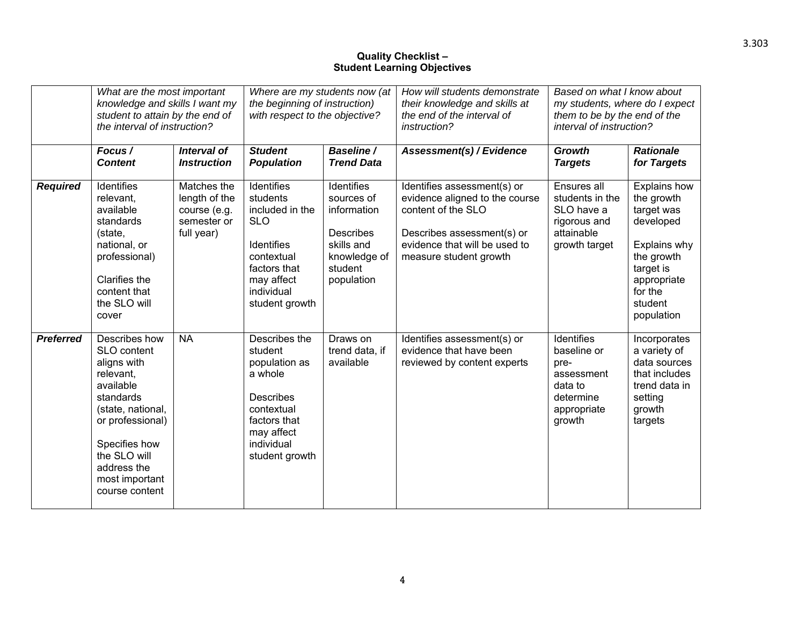# **Quality Checklist – Student Learning Objectives**

|                  | What are the most important<br>knowledge and skills I want my<br>student to attain by the end of<br>the interval of instruction?                                                                                |                                                                           | Where are my students now (at<br>the beginning of instruction)<br>with respect to the objective?                                                         |                                                                                                                    | How will students demonstrate<br>their knowledge and skills at<br>the end of the interval of<br>instruction?                                                                 | Based on what I know about<br>my students, where do I expect<br>them to be by the end of the<br>interval of instruction? |                                                                                                                                                     |
|------------------|-----------------------------------------------------------------------------------------------------------------------------------------------------------------------------------------------------------------|---------------------------------------------------------------------------|----------------------------------------------------------------------------------------------------------------------------------------------------------|--------------------------------------------------------------------------------------------------------------------|------------------------------------------------------------------------------------------------------------------------------------------------------------------------------|--------------------------------------------------------------------------------------------------------------------------|-----------------------------------------------------------------------------------------------------------------------------------------------------|
|                  | Focus /<br><b>Content</b>                                                                                                                                                                                       | Interval of<br><b>Instruction</b>                                         | <b>Student</b><br><b>Population</b>                                                                                                                      | Baseline /<br><b>Trend Data</b>                                                                                    | Assessment(s) / Evidence                                                                                                                                                     | <b>Growth</b><br><b>Targets</b>                                                                                          | <b>Rationale</b><br>for Targets                                                                                                                     |
| <b>Required</b>  | Identifies<br>relevant.<br>available<br>standards<br>(state,<br>national, or<br>professional)<br>Clarifies the<br>content that<br>the SLO will<br>cover                                                         | Matches the<br>length of the<br>course (e.g.<br>semester or<br>full year) | Identifies<br>students<br>included in the<br><b>SLO</b><br><b>Identifies</b><br>contextual<br>factors that<br>may affect<br>individual<br>student growth | Identifies<br>sources of<br>information<br><b>Describes</b><br>skills and<br>knowledge of<br>student<br>population | Identifies assessment(s) or<br>evidence aligned to the course<br>content of the SLO<br>Describes assessment(s) or<br>evidence that will be used to<br>measure student growth | Ensures all<br>students in the<br>SLO have a<br>rigorous and<br>attainable<br>growth target                              | Explains how<br>the growth<br>target was<br>developed<br>Explains why<br>the growth<br>target is<br>appropriate<br>for the<br>student<br>population |
| <b>Preferred</b> | Describes how<br>SLO content<br>aligns with<br>relevant.<br>available<br>standards<br>(state, national,<br>or professional)<br>Specifies how<br>the SLO will<br>address the<br>most important<br>course content | <b>NA</b>                                                                 | Describes the<br>student<br>population as<br>a whole<br><b>Describes</b><br>contextual<br>factors that<br>may affect<br>individual<br>student growth     | Draws on<br>trend data, if<br>available                                                                            | Identifies assessment(s) or<br>evidence that have been<br>reviewed by content experts                                                                                        | <b>Identifies</b><br>baseline or<br>pre-<br>assessment<br>data to<br>determine<br>appropriate<br>growth                  | Incorporates<br>a variety of<br>data sources<br>that includes<br>trend data in<br>setting<br>growth<br>targets                                      |